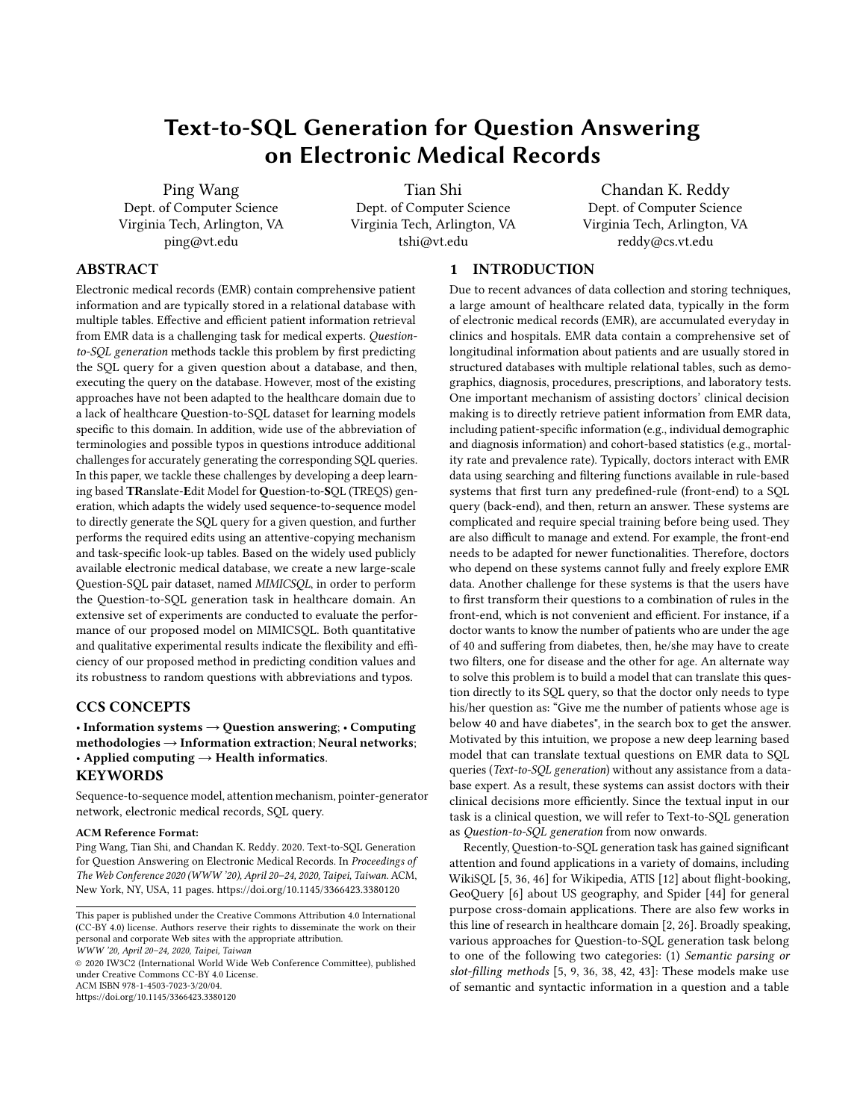# Text-to-SQL Generation for Question Answering on Electronic Medical Records

Ping Wang Dept. of Computer Science Virginia Tech, Arlington, VA ping@vt.edu

Tian Shi Dept. of Computer Science Virginia Tech, Arlington, VA tshi@vt.edu

Chandan K. Reddy Dept. of Computer Science Virginia Tech, Arlington, VA reddy@cs.vt.edu

# ABSTRACT

Electronic medical records (EMR) contain comprehensive patient information and are typically stored in a relational database with multiple tables. Effective and efficient patient information retrieval from EMR data is a challenging task for medical experts. Questionto-SQL generation methods tackle this problem by first predicting the SQL query for a given question about a database, and then, executing the query on the database. However, most of the existing approaches have not been adapted to the healthcare domain due to a lack of healthcare Question-to-SQL dataset for learning models specific to this domain. In addition, wide use of the abbreviation of terminologies and possible typos in questions introduce additional challenges for accurately generating the corresponding SQL queries. In this paper, we tackle these challenges by developing a deep learning based TRanslate-Edit Model for Question-to-SQL (TREQS) generation, which adapts the widely used sequence-to-sequence model to directly generate the SQL query for a given question, and further performs the required edits using an attentive-copying mechanism and task-specific look-up tables. Based on the widely used publicly available electronic medical database, we create a new large-scale Question-SQL pair dataset, named MIMICSQL, in order to perform the Question-to-SQL generation task in healthcare domain. An extensive set of experiments are conducted to evaluate the performance of our proposed model on MIMICSQL. Both quantitative and qualitative experimental results indicate the flexibility and efficiency of our proposed method in predicting condition values and its robustness to random questions with abbreviations and typos.

### CCS CONCEPTS

### • Information systems  $\rightarrow$  Question answering; • Computing  $methodologies \rightarrow Information extraction; Neural networks;$ • Applied computing  $\rightarrow$  Health informatics. **KEYWORDS**

Sequence-to-sequence model, attention mechanism, pointer-generator network, electronic medical records, SQL query.

### ACM Reference Format:

Ping Wang, Tian Shi, and Chandan K. Reddy. 2020. Text-to-SQL Generation for Question Answering on Electronic Medical Records. In Proceedings of The Web Conference 2020 (WWW '20), April 20–24, 2020, Taipei, Taiwan. ACM, New York, NY, USA, [11](#page-10-0) pages.<https://doi.org/10.1145/3366423.3380120>

WWW '20, April 20–24, 2020, Taipei, Taiwan

© 2020 IW3C2 (International World Wide Web Conference Committee), published under Creative Commons CC-BY 4.0 License. ACM ISBN 978-1-4503-7023-3/20/04.

<https://doi.org/10.1145/3366423.3380120>

# 1 INTRODUCTION

Due to recent advances of data collection and storing techniques, a large amount of healthcare related data, typically in the form of electronic medical records (EMR), are accumulated everyday in clinics and hospitals. EMR data contain a comprehensive set of longitudinal information about patients and are usually stored in structured databases with multiple relational tables, such as demographics, diagnosis, procedures, prescriptions, and laboratory tests. One important mechanism of assisting doctors' clinical decision making is to directly retrieve patient information from EMR data, including patient-specific information (e.g., individual demographic and diagnosis information) and cohort-based statistics (e.g., mortality rate and prevalence rate). Typically, doctors interact with EMR data using searching and filtering functions available in rule-based systems that first turn any predefined-rule (front-end) to a SQL query (back-end), and then, return an answer. These systems are complicated and require special training before being used. They are also difficult to manage and extend. For example, the front-end needs to be adapted for newer functionalities. Therefore, doctors who depend on these systems cannot fully and freely explore EMR data. Another challenge for these systems is that the users have to first transform their questions to a combination of rules in the front-end, which is not convenient and efficient. For instance, if a doctor wants to know the number of patients who are under the age of 40 and suffering from diabetes, then, he/she may have to create two filters, one for disease and the other for age. An alternate way to solve this problem is to build a model that can translate this question directly to its SQL query, so that the doctor only needs to type his/her question as: "Give me the number of patients whose age is below 40 and have diabetes", in the search box to get the answer. Motivated by this intuition, we propose a new deep learning based model that can translate textual questions on EMR data to SQL queries (Text-to-SQL generation) without any assistance from a database expert. As a result, these systems can assist doctors with their clinical decisions more efficiently. Since the textual input in our task is a clinical question, we will refer to Text-to-SQL generation as Question-to-SQL generation from now onwards.

Recently, Question-to-SQL generation task has gained significant attention and found applications in a variety of domains, including WikiSQL [\[5,](#page-10-1) [36,](#page-10-2) [46\]](#page-10-3) for Wikipedia, ATIS [\[12\]](#page-10-4) about flight-booking, GeoQuery [\[6\]](#page-10-5) about US geography, and Spider [\[44\]](#page-10-6) for general purpose cross-domain applications. There are also few works in this line of research in healthcare domain [\[2,](#page-10-7) [26\]](#page-10-8). Broadly speaking, various approaches for Question-to-SQL generation task belong to one of the following two categories: (1) Semantic parsing or slot-filling methods [\[5,](#page-10-1) [9,](#page-10-9) [36,](#page-10-2) [38,](#page-10-10) [42,](#page-10-11) [43\]](#page-10-12): These models make use of semantic and syntactic information in a question and a table

This paper is published under the Creative Commons Attribution 4.0 International (CC-BY 4.0) license. Authors reserve their rights to disseminate the work on their personal and corporate Web sites with the appropriate attribution.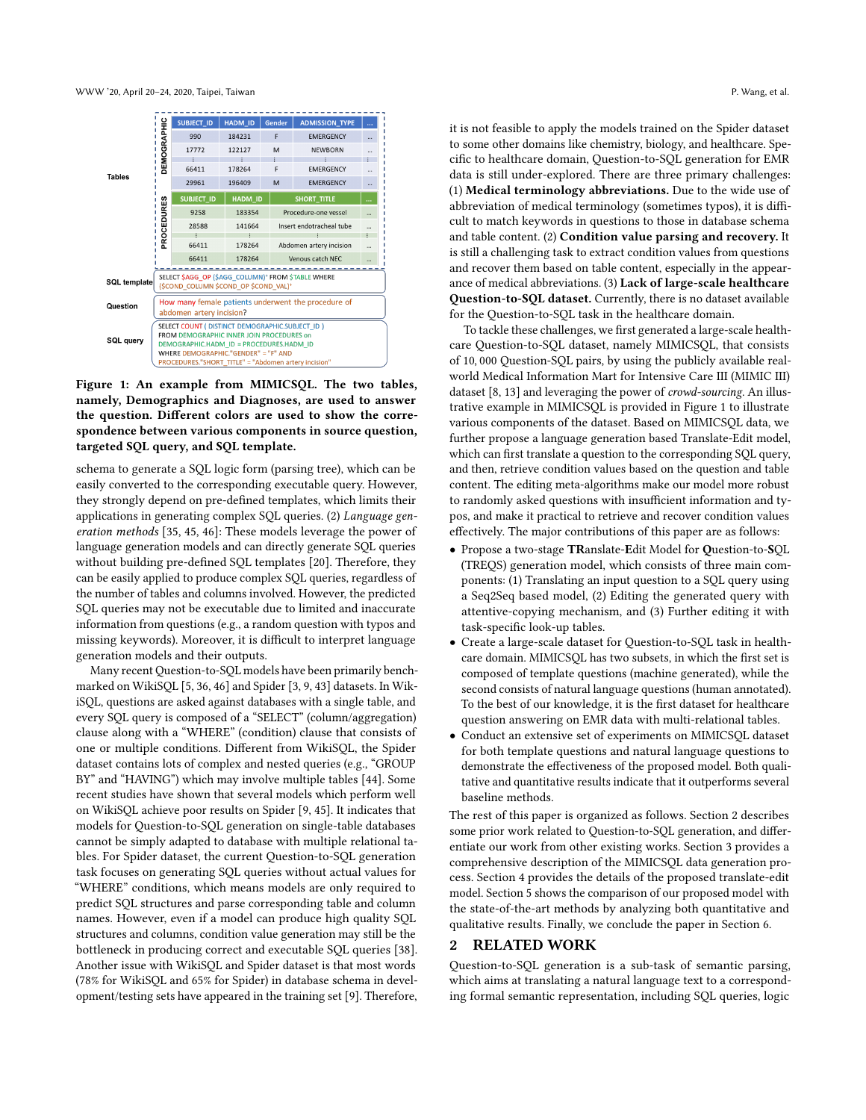<span id="page-1-0"></span>

Figure 1: An example from MIMICSQL. The two tables, namely, Demographics and Diagnoses, are used to answer the question. Different colors are used to show the correspondence between various components in source question, targeted SQL query, and SQL template.

schema to generate a SQL logic form (parsing tree), which can be easily converted to the corresponding executable query. However, they strongly depend on pre-defined templates, which limits their applications in generating complex SQL queries. (2) Language generation methods [\[35,](#page-10-13) [45,](#page-10-14) [46\]](#page-10-3): These models leverage the power of language generation models and can directly generate SQL queries without building pre-defined SQL templates [\[20\]](#page-10-15). Therefore, they can be easily applied to produce complex SQL queries, regardless of the number of tables and columns involved. However, the predicted SQL queries may not be executable due to limited and inaccurate information from questions (e.g., a random question with typos and missing keywords). Moreover, it is difficult to interpret language generation models and their outputs.

Many recent Question-to-SQL models have been primarily benchmarked on WikiSQL [\[5,](#page-10-1) [36,](#page-10-2) [46\]](#page-10-3) and Spider [\[3,](#page-10-16) [9,](#page-10-9) [43\]](#page-10-12) datasets. In WikiSQL, questions are asked against databases with a single table, and every SQL query is composed of a "SELECT" (column/aggregation) clause along with a "WHERE" (condition) clause that consists of one or multiple conditions. Different from WikiSQL, the Spider dataset contains lots of complex and nested queries (e.g., "GROUP BY" and "HAVING") which may involve multiple tables [\[44\]](#page-10-6). Some recent studies have shown that several models which perform well on WikiSQL achieve poor results on Spider [\[9,](#page-10-9) [45\]](#page-10-14). It indicates that models for Question-to-SQL generation on single-table databases cannot be simply adapted to database with multiple relational tables. For Spider dataset, the current Question-to-SQL generation task focuses on generating SQL queries without actual values for "WHERE" conditions, which means models are only required to predict SQL structures and parse corresponding table and column names. However, even if a model can produce high quality SQL structures and columns, condition value generation may still be the bottleneck in producing correct and executable SQL queries [\[38\]](#page-10-10). Another issue with WikiSQL and Spider dataset is that most words (78% for WikiSQL and 65% for Spider) in database schema in development/testing sets have appeared in the training set [\[9\]](#page-10-9). Therefore,

it is not feasible to apply the models trained on the Spider dataset to some other domains like chemistry, biology, and healthcare. Specific to healthcare domain, Question-to-SQL generation for EMR data is still under-explored. There are three primary challenges: (1) Medical terminology abbreviations. Due to the wide use of abbreviation of medical terminology (sometimes typos), it is difficult to match keywords in questions to those in database schema and table content. (2) Condition value parsing and recovery. It is still a challenging task to extract condition values from questions and recover them based on table content, especially in the appearance of medical abbreviations. (3) Lack of large-scale healthcare Question-to-SQL dataset. Currently, there is no dataset available for the Question-to-SQL task in the healthcare domain.

To tackle these challenges, we first generated a large-scale healthcare Question-to-SQL dataset, namely MIMICSQL, that consists of 10, 000 Question-SQL pairs, by using the publicly available realworld Medical Information Mart for Intensive Care III (MIMIC III) dataset [\[8,](#page-10-17) [13\]](#page-10-18) and leveraging the power of crowd-sourcing. An illustrative example in MIMICSQL is provided in Figure [1](#page-1-0) to illustrate various components of the dataset. Based on MIMICSQL data, we further propose a language generation based Translate-Edit model, which can first translate a question to the corresponding SQL query, and then, retrieve condition values based on the question and table content. The editing meta-algorithms make our model more robust to randomly asked questions with insufficient information and typos, and make it practical to retrieve and recover condition values effectively. The major contributions of this paper are as follows:

- Propose a two-stage TRanslate-Edit Model for Question-to-SQL (TREQS) generation model, which consists of three main components: (1) Translating an input question to a SQL query using a Seq2Seq based model, (2) Editing the generated query with attentive-copying mechanism, and (3) Further editing it with task-specific look-up tables.
- Create a large-scale dataset for Question-to-SQL task in healthcare domain. MIMICSQL has two subsets, in which the first set is composed of template questions (machine generated), while the second consists of natural language questions (human annotated). To the best of our knowledge, it is the first dataset for healthcare question answering on EMR data with multi-relational tables.
- Conduct an extensive set of experiments on MIMICSQL dataset for both template questions and natural language questions to demonstrate the effectiveness of the proposed model. Both qualitative and quantitative results indicate that it outperforms several baseline methods.

The rest of this paper is organized as follows. Section [2](#page-1-1) describes some prior work related to Question-to-SQL generation, and differentiate our work from other existing works. Section [3](#page-2-0) provides a comprehensive description of the MIMICSQL data generation process. Section [4](#page-4-0) provides the details of the proposed translate-edit model. Section [5](#page-6-0) shows the comparison of our proposed model with the state-of-the-art methods by analyzing both quantitative and qualitative results. Finally, we conclude the paper in Section [6.](#page-9-0)

# <span id="page-1-1"></span>2 RELATED WORK

Question-to-SQL generation is a sub-task of semantic parsing, which aims at translating a natural language text to a corresponding formal semantic representation, including SQL queries, logic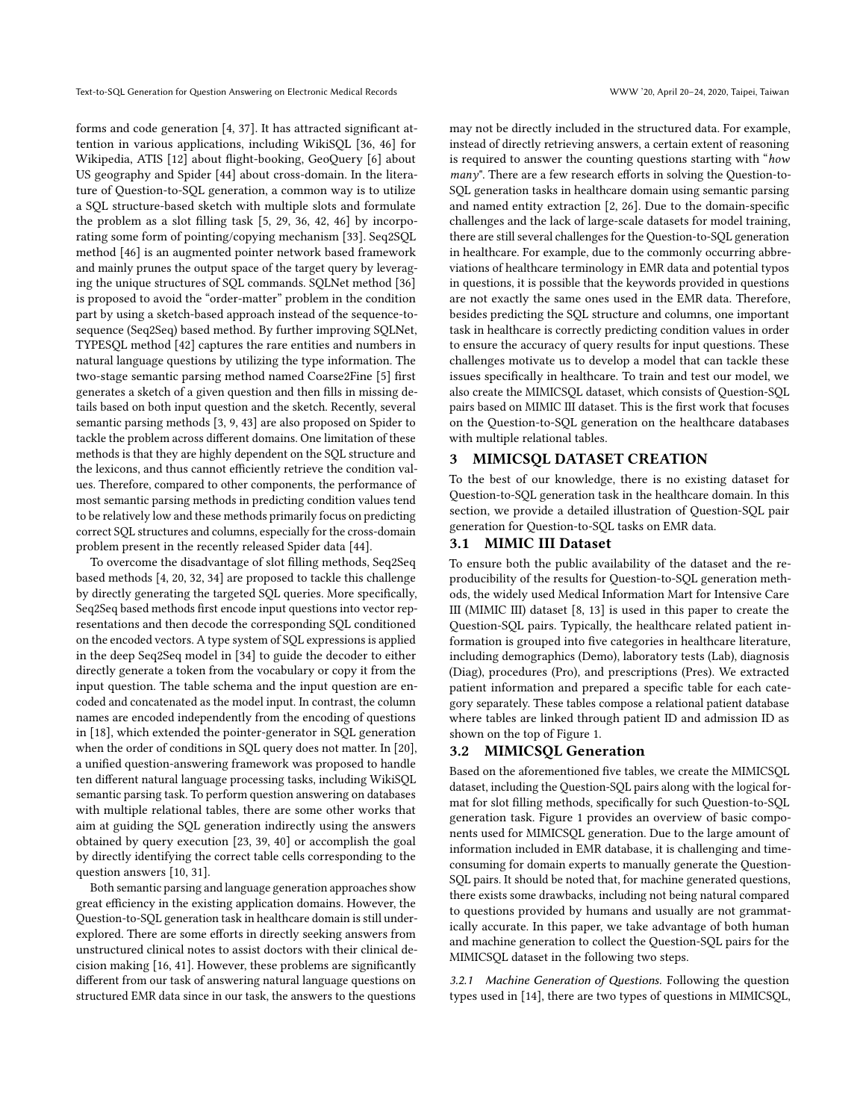forms and code generation [\[4,](#page-10-19) [37\]](#page-10-20). It has attracted significant attention in various applications, including WikiSQL [\[36,](#page-10-2) [46\]](#page-10-3) for Wikipedia, ATIS [\[12\]](#page-10-4) about flight-booking, GeoQuery [\[6\]](#page-10-5) about US geography and Spider [\[44\]](#page-10-6) about cross-domain. In the literature of Question-to-SQL generation, a common way is to utilize a SQL structure-based sketch with multiple slots and formulate the problem as a slot filling task [\[5,](#page-10-1) [29,](#page-10-21) [36,](#page-10-2) [42,](#page-10-11) [46\]](#page-10-3) by incorporating some form of pointing/copying mechanism [\[33\]](#page-10-22). Seq2SQL method [\[46\]](#page-10-3) is an augmented pointer network based framework and mainly prunes the output space of the target query by leveraging the unique structures of SQL commands. SQLNet method [\[36\]](#page-10-2) is proposed to avoid the "order-matter" problem in the condition part by using a sketch-based approach instead of the sequence-tosequence (Seq2Seq) based method. By further improving SQLNet, TYPESQL method [\[42\]](#page-10-11) captures the rare entities and numbers in natural language questions by utilizing the type information. The two-stage semantic parsing method named Coarse2Fine [\[5\]](#page-10-1) first generates a sketch of a given question and then fills in missing details based on both input question and the sketch. Recently, several semantic parsing methods [\[3,](#page-10-16) [9,](#page-10-9) [43\]](#page-10-12) are also proposed on Spider to tackle the problem across different domains. One limitation of these methods is that they are highly dependent on the SQL structure and the lexicons, and thus cannot efficiently retrieve the condition values. Therefore, compared to other components, the performance of most semantic parsing methods in predicting condition values tend to be relatively low and these methods primarily focus on predicting correct SQL structures and columns, especially for the cross-domain problem present in the recently released Spider data [\[44\]](#page-10-6).

To overcome the disadvantage of slot filling methods, Seq2Seq based methods [\[4,](#page-10-19) [20,](#page-10-15) [32,](#page-10-23) [34\]](#page-10-24) are proposed to tackle this challenge by directly generating the targeted SQL queries. More specifically, Seq2Seq based methods first encode input questions into vector representations and then decode the corresponding SQL conditioned on the encoded vectors. A type system of SQL expressions is applied in the deep Seq2Seq model in [\[34\]](#page-10-24) to guide the decoder to either directly generate a token from the vocabulary or copy it from the input question. The table schema and the input question are encoded and concatenated as the model input. In contrast, the column names are encoded independently from the encoding of questions in [\[18\]](#page-10-25), which extended the pointer-generator in SQL generation when the order of conditions in SQL query does not matter. In [\[20\]](#page-10-15), a unified question-answering framework was proposed to handle ten different natural language processing tasks, including WikiSQL semantic parsing task. To perform question answering on databases with multiple relational tables, there are some other works that aim at guiding the SQL generation indirectly using the answers obtained by query execution [\[23,](#page-10-26) [39,](#page-10-27) [40\]](#page-10-28) or accomplish the goal by directly identifying the correct table cells corresponding to the question answers [\[10,](#page-10-29) [31\]](#page-10-30).

Both semantic parsing and language generation approaches show great efficiency in the existing application domains. However, the Question-to-SQL generation task in healthcare domain is still underexplored. There are some efforts in directly seeking answers from unstructured clinical notes to assist doctors with their clinical decision making [\[16,](#page-10-31) [41\]](#page-10-32). However, these problems are significantly different from our task of answering natural language questions on structured EMR data since in our task, the answers to the questions

may not be directly included in the structured data. For example, instead of directly retrieving answers, a certain extent of reasoning is required to answer the counting questions starting with "how many". There are a few research efforts in solving the Question-to-SQL generation tasks in healthcare domain using semantic parsing and named entity extraction [\[2,](#page-10-7) [26\]](#page-10-8). Due to the domain-specific challenges and the lack of large-scale datasets for model training, there are still several challenges for the Question-to-SQL generation in healthcare. For example, due to the commonly occurring abbreviations of healthcare terminology in EMR data and potential typos in questions, it is possible that the keywords provided in questions are not exactly the same ones used in the EMR data. Therefore, besides predicting the SQL structure and columns, one important task in healthcare is correctly predicting condition values in order to ensure the accuracy of query results for input questions. These challenges motivate us to develop a model that can tackle these issues specifically in healthcare. To train and test our model, we also create the MIMICSQL dataset, which consists of Question-SQL pairs based on MIMIC III dataset. This is the first work that focuses on the Question-to-SQL generation on the healthcare databases with multiple relational tables.

#### <span id="page-2-0"></span>3 MIMICSQL DATASET CREATION

To the best of our knowledge, there is no existing dataset for Question-to-SQL generation task in the healthcare domain. In this section, we provide a detailed illustration of Question-SQL pair generation for Question-to-SQL tasks on EMR data.

### 3.1 MIMIC III Dataset

To ensure both the public availability of the dataset and the reproducibility of the results for Question-to-SQL generation methods, the widely used Medical Information Mart for Intensive Care III (MIMIC III) dataset [\[8,](#page-10-17) [13\]](#page-10-18) is used in this paper to create the Question-SQL pairs. Typically, the healthcare related patient information is grouped into five categories in healthcare literature, including demographics (Demo), laboratory tests (Lab), diagnosis (Diag), procedures (Pro), and prescriptions (Pres). We extracted patient information and prepared a specific table for each category separately. These tables compose a relational patient database where tables are linked through patient ID and admission ID as shown on the top of Figure [1.](#page-1-0)

# 3.2 MIMICSQL Generation

Based on the aforementioned five tables, we create the MIMICSQL dataset, including the Question-SQL pairs along with the logical format for slot filling methods, specifically for such Question-to-SQL generation task. Figure [1](#page-1-0) provides an overview of basic components used for MIMICSQL generation. Due to the large amount of information included in EMR database, it is challenging and timeconsuming for domain experts to manually generate the Question-SQL pairs. It should be noted that, for machine generated questions, there exists some drawbacks, including not being natural compared to questions provided by humans and usually are not grammatically accurate. In this paper, we take advantage of both human and machine generation to collect the Question-SQL pairs for the MIMICSQL dataset in the following two steps.

3.2.1 Machine Generation of Questions. Following the question types used in [\[14\]](#page-10-33), there are two types of questions in MIMICSQL,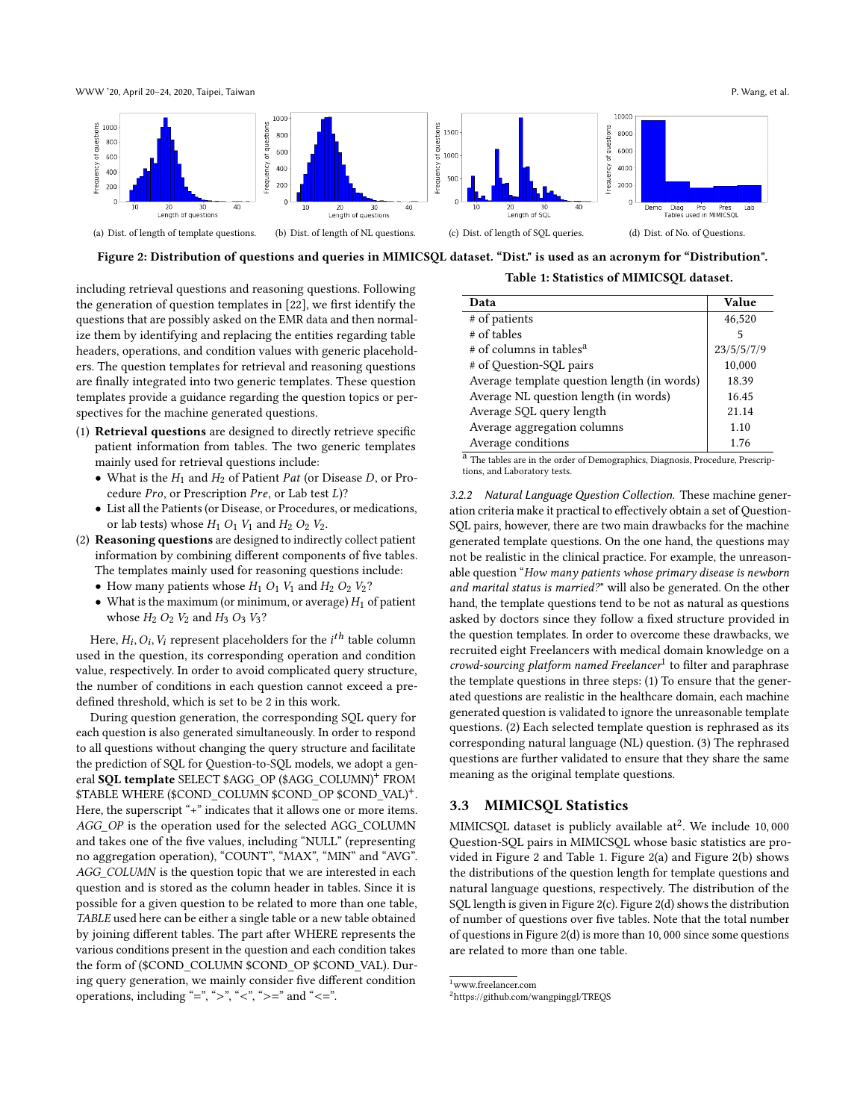WWW '20, April 20–24, 2020, Taipei, Taiwan P. Wang, et al.

<span id="page-3-2"></span>

Figure 2: Distribution of questions and queries in MIMICSQL dataset. "Dist." is used as an acronym for "Distribution".

including retrieval questions and reasoning questions. Following the generation of question templates in [\[22\]](#page-10-34), we first identify the questions that are possibly asked on the EMR data and then normalize them by identifying and replacing the entities regarding table headers, operations, and condition values with generic placeholders. The question templates for retrieval and reasoning questions are finally integrated into two generic templates. These question templates provide a guidance regarding the question topics or perspectives for the machine generated questions.

- (1) Retrieval questions are designed to directly retrieve specific patient information from tables. The two generic templates mainly used for retrieval questions include:
	- What is the  $H_1$  and  $H_2$  of Patient Pat (or Disease D, or Procedure  $Pro$ , or Prescription  $Pre$ , or Lab test  $L$ )?
	- List all the Patients (or Disease, or Procedures, or medications, or lab tests) whose  $H_1$   $O_1$   $V_1$  and  $H_2$   $O_2$   $V_2$ .
- (2) Reasoning questions are designed to indirectly collect patient information by combining different components of five tables. The templates mainly used for reasoning questions include:
	- How many patients whose  $H_1$   $O_1$   $V_1$  and  $H_2$   $O_2$   $V_2$ ?
	- What is the maximum (or minimum, or average)  $H_1$  of patient whose  $H_2$   $O_2$   $V_2$  and  $H_3$   $O_3$   $V_3$ ?

Here,  $H_i, O_i, V_i$  represent placeholders for the  $i^{th}$  table column used in the question, its corresponding operation and condition value, respectively. In order to avoid complicated query structure, the number of conditions in each question cannot exceed a predefined threshold, which is set to be 2 in this work.

During question generation, the corresponding SQL query for each question is also generated simultaneously. In order to respond to all questions without changing the query structure and facilitate the prediction of SQL for Question-to-SQL models, we adopt a general SQL template SELECT \$AGG\_OP (\$AGG\_COLUMN)<sup>+</sup> FROM \$TABLE WHERE (\$COND\_COLUMN \$COND\_OP \$COND\_VAL)<sup>+</sup> . Here, the superscript "+" indicates that it allows one or more items. AGG\_OP is the operation used for the selected AGG\_COLUMN and takes one of the five values, including "NULL" (representing no aggregation operation), "COUNT", "MAX", "MIN" and "AVG". AGG\_COLUMN is the question topic that we are interested in each question and is stored as the column header in tables. Since it is possible for a given question to be related to more than one table, TABLE used here can be either a single table or a new table obtained by joining different tables. The part after WHERE represents the various conditions present in the question and each condition takes the form of (\$COND\_COLUMN \$COND\_OP \$COND\_VAL). During query generation, we mainly consider five different condition operations, including "=", ">", "<", ">=" and "<=".

|  |  | Table 1: Statistics of MIMICSQL dataset. |  |
|--|--|------------------------------------------|--|
|--|--|------------------------------------------|--|

<span id="page-3-3"></span>

| Data                                        | Value      |
|---------------------------------------------|------------|
| # of patients                               | 46,520     |
| # of tables                                 | 5          |
| # of columns in tables <sup>a</sup>         | 23/5/5/7/9 |
| # of Question-SQL pairs                     | 10,000     |
| Average template question length (in words) | 18.39      |
| Average NL question length (in words)       | 16.45      |
| Average SQL query length                    | 21.14      |
| Average aggregation columns                 | 1.10       |
| Average conditions                          | 1.76       |

a<br>The tables are in the order of Demographics, Diagnosis, Procedure, Prescriptions, and Laboratory tests.

3.2.2 Natural Language Question Collection. These machine generation criteria make it practical to effectively obtain a set of Question-SQL pairs, however, there are two main drawbacks for the machine generated template questions. On the one hand, the questions may not be realistic in the clinical practice. For example, the unreasonable question "How many patients whose primary disease is newborn and marital status is married?" will also be generated. On the other hand, the template questions tend to be not as natural as questions asked by doctors since they follow a fixed structure provided in the question templates. In order to overcome these drawbacks, we recruited eight Freelancers with medical domain knowledge on a crowd-sourcing platform named Freelancer<sup>[1](#page-3-0)</sup> to filter and paraphrase the template questions in three steps: (1) To ensure that the generated questions are realistic in the healthcare domain, each machine generated question is validated to ignore the unreasonable template questions. (2) Each selected template question is rephrased as its corresponding natural language (NL) question. (3) The rephrased questions are further validated to ensure that they share the same meaning as the original template questions.

### 3.3 MIMICSQL Statistics

MIMICSQL dataset is publicly available  $at^2$  $at^2$ . We include 10,000 Question-SQL pairs in MIMICSQL whose basic statistics are provided in Figure [2](#page-3-2) and Table [1.](#page-3-3) Figure [2\(](#page-3-2)a) and Figure [2\(](#page-3-2)b) shows the distributions of the question length for template questions and natural language questions, respectively. The distribution of the SQL length is given in Figure [2\(](#page-3-2)c). Figure [2\(](#page-3-2)d) shows the distribution of number of questions over five tables. Note that the total number of questions in Figure [2\(](#page-3-2)d) is more than 10, 000 since some questions are related to more than one table.

<span id="page-3-0"></span> $\prescript{1}{\text{www.freelancer.com}}$ 

<span id="page-3-1"></span><sup>2</sup>https://github.com/wangpinggl/TREQS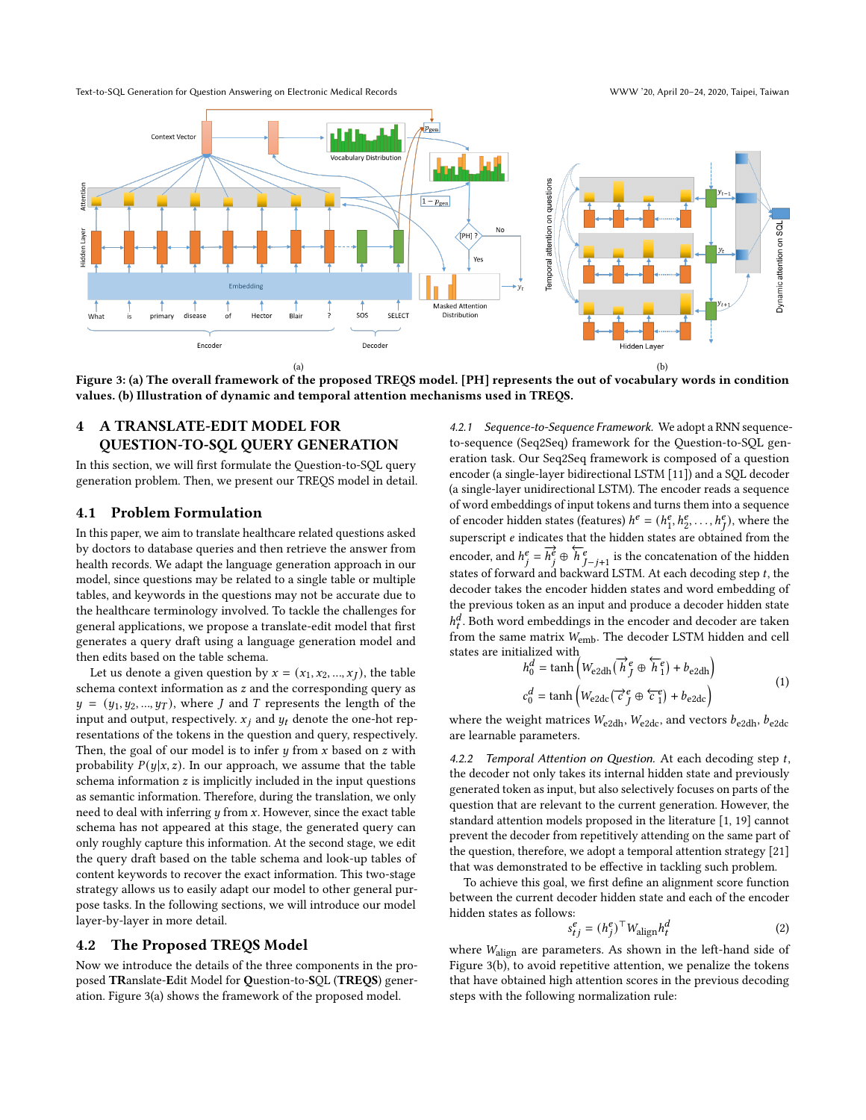Text-to-SQL Generation for Question Answering on Electronic Medical Records WWW '20, April 20–24, 2020, Taipei, Taiwan

<span id="page-4-1"></span>

Figure 3: (a) The overall framework of the proposed TREQS model. [PH] represents the out of vocabulary words in condition values. (b) Illustration of dynamic and temporal attention mechanisms used in TREQS.

# <span id="page-4-0"></span>4 A TRANSLATE-EDIT MODEL FOR QUESTION-TO-SQL QUERY GENERATION

In this section, we will first formulate the Question-to-SQL query generation problem. Then, we present our TREQS model in detail.

### 4.1 Problem Formulation

In this paper, we aim to translate healthcare related questions asked by doctors to database queries and then retrieve the answer from health records. We adapt the language generation approach in our model, since questions may be related to a single table or multiple tables, and keywords in the questions may not be accurate due to the healthcare terminology involved. To tackle the challenges for general applications, we propose a translate-edit model that first generates a query draft using a language generation model and then edits based on the table schema.

Let us denote a given question by  $x = (x_1, x_2, ..., x_J)$ , the table schema context information as  $z$  and the corresponding query as  $y = (y_1, y_2, ..., y_T)$ , where *J* and *T* represents the length of the input and output, respectively.  $x_i$  and  $y_t$  denote the one-hot representations of the tokens in the question and query, respectively. Then, the goal of our model is to infer  $y$  from  $x$  based on  $z$  with probability  $P(y|x, z)$ . In our approach, we assume that the table schema information  $z$  is implicitly included in the input questions as semantic information. Therefore, during the translation, we only need to deal with inferring  $y$  from  $x$ . However, since the exact table schema has not appeared at this stage, the generated query can only roughly capture this information. At the second stage, we edit the query draft based on the table schema and look-up tables of content keywords to recover the exact information. This two-stage strategy allows us to easily adapt our model to other general purpose tasks. In the following sections, we will introduce our model layer-by-layer in more detail.

### 4.2 The Proposed TREQS Model

Now we introduce the details of the three components in the proposed TRanslate-Edit Model for Question-to-SQL (TREQS) generation. Figure [3\(](#page-4-1)a) shows the framework of the proposed model.

4.2.1 Sequence-to-Sequence Framework. We adopt a RNN sequenceto-sequence (Seq2Seq) framework for the Question-to-SQL generation task. Our Seq2Seq framework is composed of a question encoder (a single-layer bidirectional LSTM [\[11\]](#page-10-35)) and a SQL decoder (a single-layer unidirectional LSTM). The encoder reads a sequence of word embeddings of input tokens and turns them into a sequence of encoder hidden states (features)  $h^e = (h_1^e)$  $\frac{e}{1}, h_2^e, \ldots, h_J^e$ , where the superscript  $e$  indicates that the hidden states are obtained from the encoder, and  $h_j^e = \overline{h_j^e} \oplus \overline{h_{j-j+1}^e}$  is the concatenation of the hidden states of forward and backward LSTM. At each decoding step  $t$ , the decoder takes the encoder hidden states and word embedding of the previous token as an input and produce a decoder hidden state  $h_t^d$ . Both word embeddings in the encoder and decoder are taken from the same matrix  $W_{\rm emb}$ . The decoder LSTM hidden and cell states are initialized with<br> $h_0^d = \tanh\left(\frac{1}{2}\right)$ 

$$
h_0^d = \tanh\left(W_{\text{e2dh}}(\vec{h}_f^e \oplus \vec{h}_1^e) + b_{\text{e2dh}}\right)
$$
  

$$
c_0^d = \tanh\left(W_{\text{e2dc}}(\vec{c}_f^e \oplus \vec{c}_1^e) + b_{\text{e2dc}}\right)
$$
 (1)

where the weight matrices  $W_{\text{e2dh}}$ ,  $W_{\text{e2dc}}$ , and vectors  $b_{\text{e2dh}}$ ,  $b_{\text{e2dc}}$ are learnable parameters.

4.2.2 Temporal Attention on Question. At each decoding step  $t$ , the decoder not only takes its internal hidden state and previously generated token as input, but also selectively focuses on parts of the question that are relevant to the current generation. However, the standard attention models proposed in the literature [\[1,](#page-10-36) [19\]](#page-10-37) cannot prevent the decoder from repetitively attending on the same part of the question, therefore, we adopt a temporal attention strategy [\[21\]](#page-10-38) that was demonstrated to be effective in tackling such problem.

To achieve this goal, we first define an alignment score function between the current decoder hidden state and each of the encoder hidden states as follows:

$$
s_{tj}^{e} = (h_j^{e})^{\top} W_{\text{align}} h_t^d
$$
 (2)

where Walign are parameters. As shown in the left-hand side of Figure [3\(](#page-4-1)b), to avoid repetitive attention, we penalize the tokens that have obtained high attention scores in the previous decoding steps with the following normalization rule: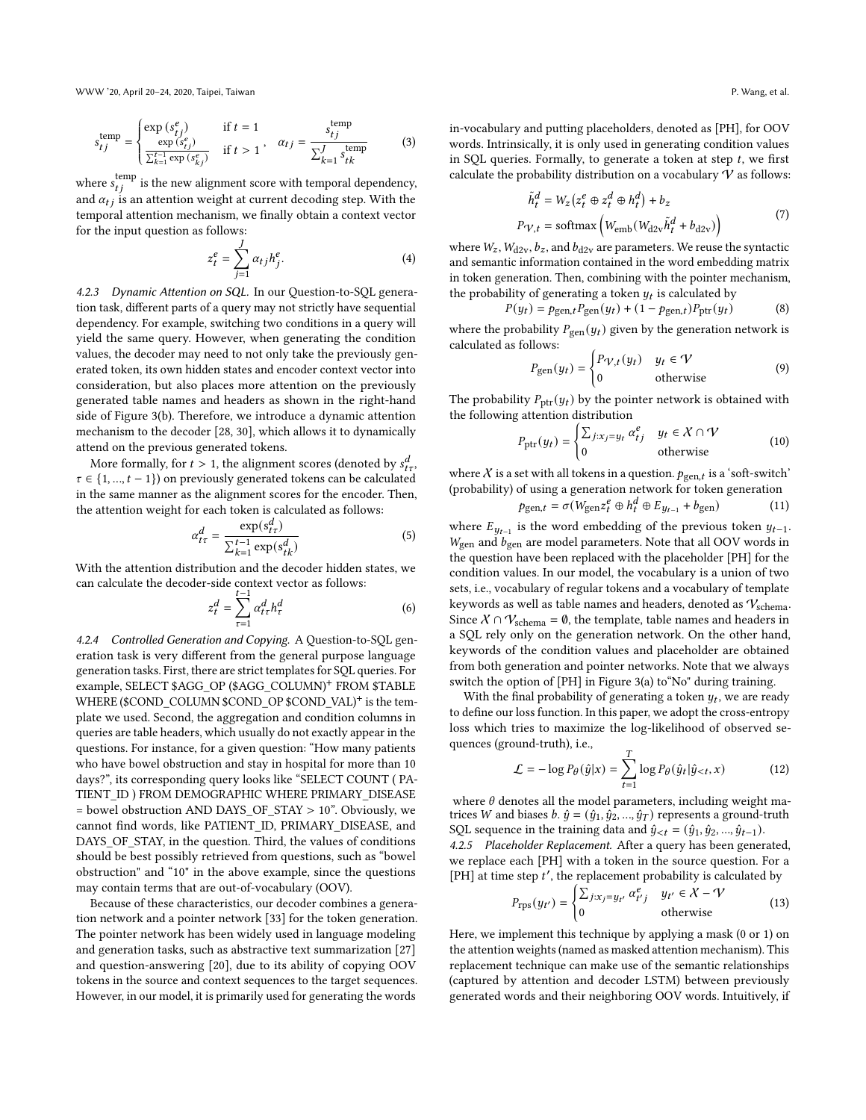WWW '20, April 20–24, 2020, Taipei, Taiwan P. Wang, et al.

$$
s_{tj}^{\text{temp}} = \begin{cases} \exp\left(s_{tj}^{e}\right) & \text{if } t = 1\\ \frac{\exp\left(s_{tj}^{e}\right)}{\sum_{k=1}^{t-1} \exp\left(s_{kj}^{e}\right)} & \text{if } t > 1 \end{cases}, \quad \alpha_{tj} = \frac{s_{tj}^{\text{temp}}}{\sum_{k=1}^{J} s_{tk}^{\text{temp}}} \tag{3}
$$

where  $s_{t}^{temp}$  is the new alignment score with temporal dependency, and  $\alpha_{t}$  is an attention weight at current decoding step. With the temporal attention mechanism, we finally obtain a context vector for the input question as follows:

$$
z_t^e = \sum_{j=1}^J \alpha_{tj} h_j^e. \tag{4}
$$

4.2.3 Dynamic Attention on SQL. In our Question-to-SQL generation task, different parts of a query may not strictly have sequential dependency. For example, switching two conditions in a query will yield the same query. However, when generating the condition values, the decoder may need to not only take the previously generated token, its own hidden states and encoder context vector into consideration, but also places more attention on the previously generated table names and headers as shown in the right-hand side of Figure [3\(](#page-4-1)b). Therefore, we introduce a dynamic attention mechanism to the decoder [\[28,](#page-10-39) [30\]](#page-10-40), which allows it to dynamically attend on the previous generated tokens.

More formally, for  $t > 1$ , the alignment scores (denoted by  $s_{t\tau}^d$ ,  $\tau \in \{1, ..., t-1\}$  on previously generated tokens can be calculated in the same manner as the alignment scores for the encoder. Then, the attention weight for each token is calculated as follows:<br> $\frac{cm}{d}$ 

$$
\alpha_{t\tau}^d = \frac{\exp(s_{t\tau}^d)}{\sum_{k=1}^{t-1} \exp(s_{t\tau}^d)}
$$
(5)

With the attention distribution and the decoder hidden states, we can calculate the decoder-side context vector as follows:<br> $z^d = \sum_{k=1}^{d-1} \alpha^d h^d$ 

$$
z_t^d = \sum_{\tau=1}^{t-1} \alpha_{t\tau}^d h_\tau^d \tag{6}
$$

4.2.4 Controlled Generation and Copying. A Question-to-SQL generation task is very different from the general purpose language generation tasks. First, there are strict templates for SQL queries. For example, SELECT \$AGG\_OP (\$AGG\_COLUMN)<sup>+</sup> FROM \$TABLE WHERE (\$COND\_COLUMN \$COND\_OP \$COND\_VAL)<sup>+</sup> is the template we used. Second, the aggregation and condition columns in queries are table headers, which usually do not exactly appear in the questions. For instance, for a given question: "How many patients who have bowel obstruction and stay in hospital for more than 10 days?", its corresponding query looks like "SELECT COUNT ( PA-TIENT\_ID ) FROM DEMOGRAPHIC WHERE PRIMARY\_DISEASE  $=$  bowel obstruction AND DAYS\_OF\_STAY  $> 10"$ . Obviously, we cannot find words, like PATIENT\_ID, PRIMARY\_DISEASE, and DAYS\_OF\_STAY, in the question. Third, the values of conditions should be best possibly retrieved from questions, such as "bowel obstruction" and "10" in the above example, since the questions may contain terms that are out-of-vocabulary (OOV).

Because of these characteristics, our decoder combines a generation network and a pointer network [\[33\]](#page-10-22) for the token generation. The pointer network has been widely used in language modeling and generation tasks, such as abstractive text summarization [\[27\]](#page-10-41) and question-answering [\[20\]](#page-10-15), due to its ability of copying OOV tokens in the source and context sequences to the target sequences. However, in our model, it is primarily used for generating the words

in-vocabulary and putting placeholders, denoted as [PH], for OOV words. Intrinsically, it is only used in generating condition values in SQL queries. Formally, to generate a token at step  $t$ , we first calculate the probability distribution on a vocabulary  $\mathcal V$  as follows:

$$
\tilde{h}_t^d = W_z (z_t^e \oplus z_t^d \oplus h_t^d) + b_z
$$
  
\n
$$
P_{\mathcal{V},t} = \text{softmax} \left( W_{\text{emb}} (W_{\text{d2v}} \tilde{h}_t^d + b_{\text{d2v}}) \right)
$$
\n(7)

where  $W_z$ ,  $W_{\text{d2v}}$ ,  $b_z$ , and  $b_{\text{d2v}}$  are parameters. We reuse the syntactic and semantic information contained in the word embedding matrix in token generation. Then, combining with the pointer mechanism, the probability of generating a token  $y_t$  is calculated by

$$
P(y_t) = p_{\text{gen},t} P_{\text{gen}}(y_t) + (1 - p_{\text{gen},t}) P_{\text{ptr}}(y_t)
$$
 (8)

where the probability  $P_{gen}(y_t)$  given by the generation network is calculated as follows:

$$
P_{\text{gen}}(y_t) = \begin{cases} P_{\mathcal{V},t}(y_t) & y_t \in \mathcal{V} \\ 0 & \text{otherwise} \end{cases} \tag{9}
$$

The probability  $P<sub>ptr</sub>(y<sub>t</sub>)$  by the pointer network is obtained with the following attention distribution

$$
P_{\text{ptr}}(y_t) = \begin{cases} \sum_{j:x_j=y_t} \alpha_{tj}^e & y_t \in X \cap V \\ 0 & \text{otherwise} \end{cases}
$$
 (10)

where  $X$  is a set with all tokens in a question.  $p_{\text{gen},t}$  is a 'soft-switch' (probability) of using a generation network for token generation

$$
p_{\text{gen},t} = \sigma(W_{\text{gen}} z_t^e \oplus h_t^d \oplus E_{y_{t-1}} + b_{\text{gen}}) \tag{11}
$$

where  $E_{y_{t-1}}$  is the word embedding of the previous token  $y_{t-1}$ .  $W_{\text{gen}}$  and  $b_{\text{gen}}$  are model parameters. Note that all OOV words in the question have been replaced with the placeholder [PH] for the condition values. In our model, the vocabulary is a union of two sets, i.e., vocabulary of regular tokens and a vocabulary of template keywords as well as table names and headers, denoted as  $\mathcal{V}_{\rm schema}.$ Since  $\mathcal{X} \cap \mathcal{V}_{\mathrm{schema}} = \emptyset,$  the template, table names and headers in a SQL rely only on the generation network. On the other hand, keywords of the condition values and placeholder are obtained from both generation and pointer networks. Note that we always switch the option of [PH] in Figure [3\(](#page-4-1)a) to"No" during training.

With the final probability of generating a token  $y_t$ , we are ready to define our loss function. In this paper, we adopt the cross-entropy loss which tries to maximize the log-likelihood of observed sequences (ground-truth), i.e.,

$$
\mathcal{L} = -\log P_{\theta}(\hat{y}|x) = \sum_{t=1}^{T} \log P_{\theta}(\hat{y}_t|\hat{y}_{< t}, x) \tag{12}
$$

where  $\theta$  denotes all the model parameters, including weight matrices *W* and biases *b*.  $\hat{y} = (\hat{y}_1, \hat{y}_2, ..., \hat{y}_T)$  represents a ground-truth SQL sequence in the training data and  $\hat{y}_{< t} = (\hat{y}_1, \hat{y}_2, ..., \hat{y}_{t-1}).$ 

4.2.5 Placeholder Replacement. After a query has been generated, we replace each [PH] with a token in the source question. For a [PH] at time step t', the replacement probability is calculated by

$$
P_{\text{rps}}(y_{t'}) = \begin{cases} \sum_{j:x_j=y_{t'}} \alpha_{t'j}^e & y_{t'} \in X - V \\ 0 & \text{otherwise} \end{cases}
$$
(13)

Here, we implement this technique by applying a mask (0 or 1) on the attention weights (named as masked attention mechanism). This replacement technique can make use of the semantic relationships (captured by attention and decoder LSTM) between previously generated words and their neighboring OOV words. Intuitively, if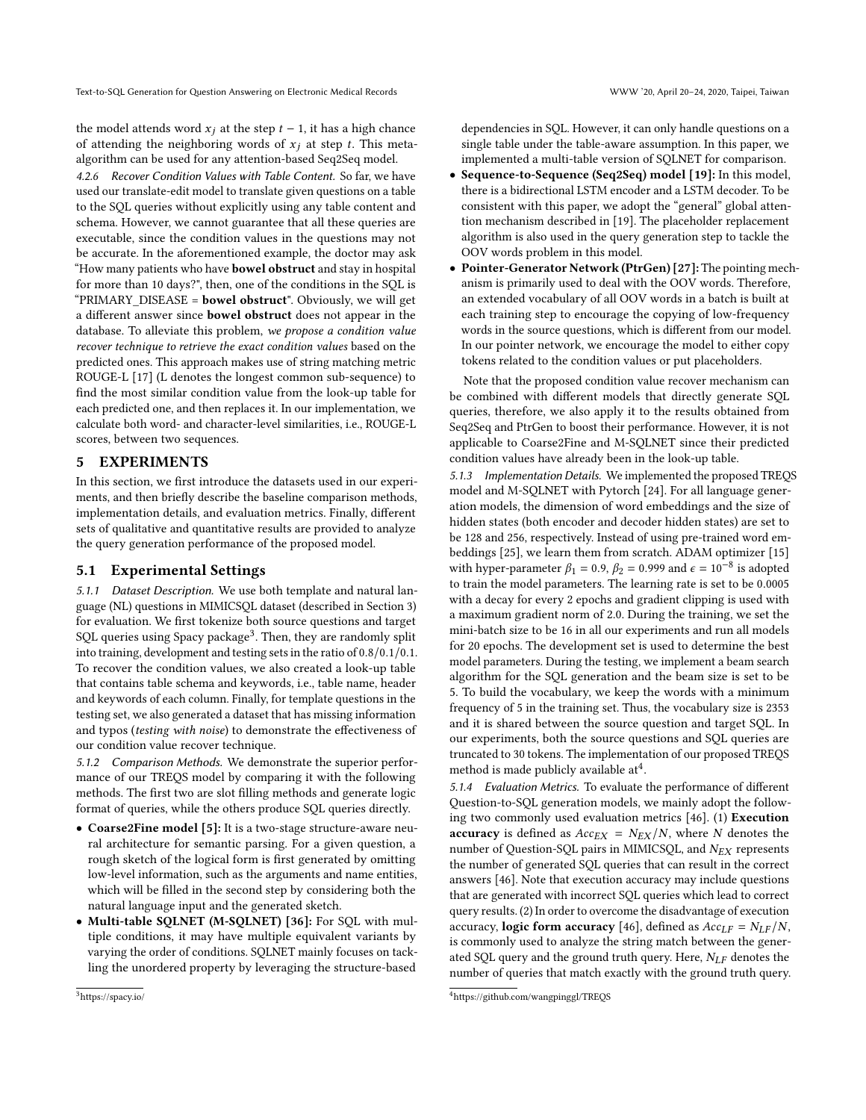the model attends word  $x_j$  at the step  $t - 1$ , it has a high chance of attending the neighboring words of  $x_i$  at step t. This metaalgorithm can be used for any attention-based Seq2Seq model.

4.2.6 Recover Condition Values with Table Content. So far, we have used our translate-edit model to translate given questions on a table to the SQL queries without explicitly using any table content and schema. However, we cannot guarantee that all these queries are executable, since the condition values in the questions may not be accurate. In the aforementioned example, the doctor may ask "How many patients who have **bowel obstruct** and stay in hospital for more than 10 days?", then, one of the conditions in the SQL is "PRIMARY\_DISEASE = bowel obstruct". Obviously, we will get a different answer since bowel obstruct does not appear in the database. To alleviate this problem, we propose a condition value recover technique to retrieve the exact condition values based on the predicted ones. This approach makes use of string matching metric ROUGE-L [\[17\]](#page-10-42) (L denotes the longest common sub-sequence) to find the most similar condition value from the look-up table for each predicted one, and then replaces it. In our implementation, we calculate both word- and character-level similarities, i.e., ROUGE-L scores, between two sequences.

### <span id="page-6-0"></span>5 EXPERIMENTS

In this section, we first introduce the datasets used in our experiments, and then briefly describe the baseline comparison methods, implementation details, and evaluation metrics. Finally, different sets of qualitative and quantitative results are provided to analyze the query generation performance of the proposed model.

#### 5.1 Experimental Settings

5.1.1 Dataset Description. We use both template and natural language (NL) questions in MIMICSQL dataset (described in Section [3\)](#page-2-0) for evaluation. We first tokenize both source questions and target SQL queries using Spacy package<sup>[3](#page-6-1)</sup>. Then, they are randomly split into training, development and testing sets in the ratio of 0.8/0.1/0.1. To recover the condition values, we also created a look-up table that contains table schema and keywords, i.e., table name, header and keywords of each column. Finally, for template questions in the testing set, we also generated a dataset that has missing information and typos (testing with noise) to demonstrate the effectiveness of our condition value recover technique.

5.1.2 Comparison Methods. We demonstrate the superior performance of our TREQS model by comparing it with the following methods. The first two are slot filling methods and generate logic format of queries, while the others produce SQL queries directly.

- Coarse2Fine model [\[5\]](#page-10-1): It is a two-stage structure-aware neural architecture for semantic parsing. For a given question, a rough sketch of the logical form is first generated by omitting low-level information, such as the arguments and name entities, which will be filled in the second step by considering both the natural language input and the generated sketch.
- Multi-table SQLNET (M-SQLNET) [\[36\]](#page-10-2): For SQL with multiple conditions, it may have multiple equivalent variants by varying the order of conditions. SQLNET mainly focuses on tackling the unordered property by leveraging the structure-based

dependencies in SQL. However, it can only handle questions on a single table under the table-aware assumption. In this paper, we implemented a multi-table version of SQLNET for comparison.

- Sequence-to-Sequence (Seq2Seq) model [\[19\]](#page-10-37): In this model, there is a bidirectional LSTM encoder and a LSTM decoder. To be consistent with this paper, we adopt the "general" global attention mechanism described in [\[19\]](#page-10-37). The placeholder replacement algorithm is also used in the query generation step to tackle the OOV words problem in this model.
- Pointer-Generator Network (PtrGen) [\[27\]](#page-10-41): The pointing mechanism is primarily used to deal with the OOV words. Therefore, an extended vocabulary of all OOV words in a batch is built at each training step to encourage the copying of low-frequency words in the source questions, which is different from our model. In our pointer network, we encourage the model to either copy tokens related to the condition values or put placeholders.

Note that the proposed condition value recover mechanism can be combined with different models that directly generate SQL queries, therefore, we also apply it to the results obtained from Seq2Seq and PtrGen to boost their performance. However, it is not applicable to Coarse2Fine and M-SQLNET since their predicted condition values have already been in the look-up table.

5.1.3 Implementation Details. We implemented the proposed TREQS model and M-SQLNET with Pytorch [\[24\]](#page-10-43). For all language generation models, the dimension of word embeddings and the size of hidden states (both encoder and decoder hidden states) are set to be 128 and 256, respectively. Instead of using pre-trained word embeddings [\[25\]](#page-10-44), we learn them from scratch. ADAM optimizer [\[15\]](#page-10-45) with hyper-parameter  $\beta_1 = 0.9$ ,  $\beta_2 = 0.999$  and  $\epsilon = 10^{-8}$  is adopted to train the model parameters. The learning rate is set to be 0.0005 with a decay for every 2 epochs and gradient clipping is used with a maximum gradient norm of 2.0. During the training, we set the mini-batch size to be 16 in all our experiments and run all models for 20 epochs. The development set is used to determine the best model parameters. During the testing, we implement a beam search algorithm for the SQL generation and the beam size is set to be 5. To build the vocabulary, we keep the words with a minimum frequency of 5 in the training set. Thus, the vocabulary size is 2353 and it is shared between the source question and target SQL. In our experiments, both the source questions and SQL queries are truncated to 30 tokens. The implementation of our proposed TREQS method is made publicly available at<sup>[4](#page-6-2)</sup>.

5.1.4 Evaluation Metrics. To evaluate the performance of different Question-to-SQL generation models, we mainly adopt the following two commonly used evaluation metrics [\[46\]](#page-10-3). (1) Execution accuracy is defined as  $Acc_{EX} = N_{EX}/N$ , where N denotes the number of Question-SQL pairs in MIMICSQL, and  $N_{EX}$  represents the number of generated SQL queries that can result in the correct answers [\[46\]](#page-10-3). Note that execution accuracy may include questions that are generated with incorrect SQL queries which lead to correct query results. (2) In order to overcome the disadvantage of execution accuracy, logic form accuracy [\[46\]](#page-10-3), defined as  $Acc_{LF} = N_{LF}/N$ , is commonly used to analyze the string match between the generated SQL query and the ground truth query. Here,  $N_{LF}$  denotes the number of queries that match exactly with the ground truth query.

<span id="page-6-2"></span><sup>4</sup>https://github.com/wangpinggl/TREQS

<span id="page-6-1"></span><sup>3</sup>https://spacy.io/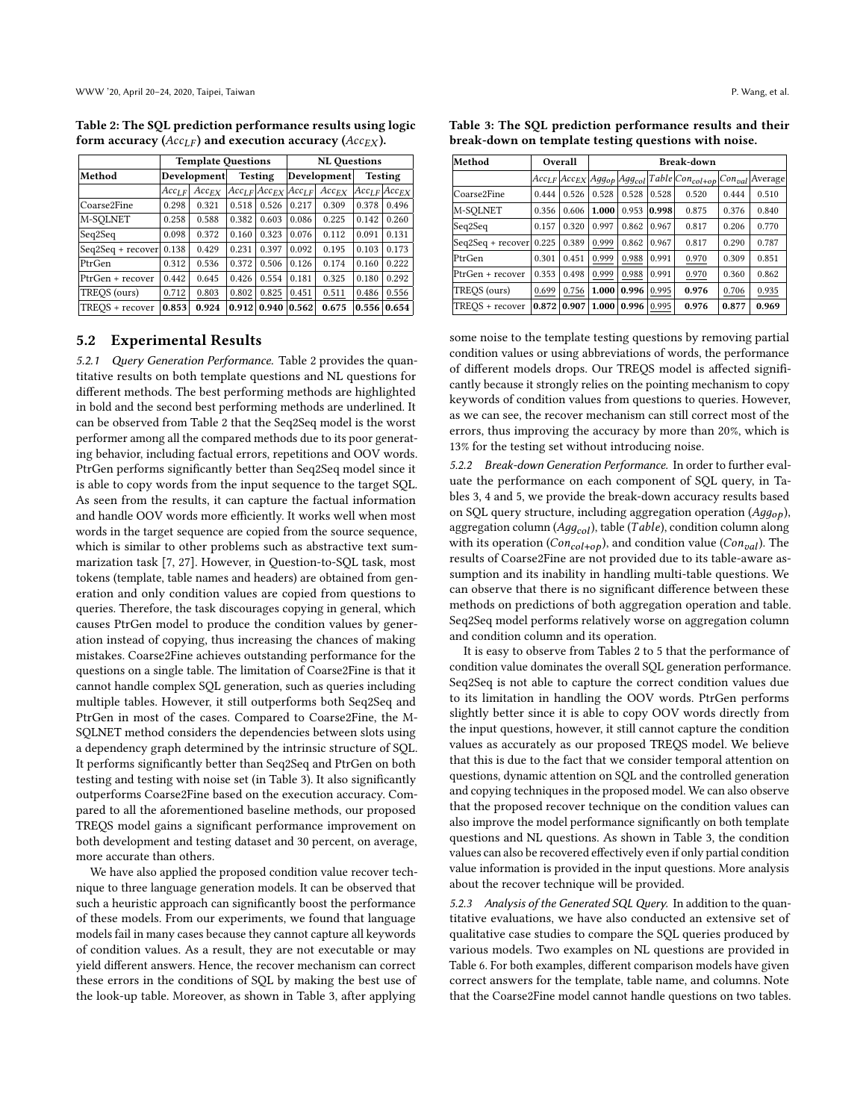<span id="page-7-0"></span>Table 2: The SQL prediction performance results using logic form accuracy ( $Acc_{LF}$ ) and execution accuracy ( $Acc_{EX}$ ).

|                     |                    | <b>Template Questions</b> |                |       | <b>NL Ouestions</b> |                                             |                |                         |  |  |
|---------------------|--------------------|---------------------------|----------------|-------|---------------------|---------------------------------------------|----------------|-------------------------|--|--|
| Method              | <b>Development</b> |                           | <b>Testing</b> |       | Development         |                                             | <b>Testing</b> |                         |  |  |
|                     | $Acc_{LF}$         | $Acc_{EX}$                |                |       |                     | $Acc_{LF}$ $Acc_{EX}$ $Acc_{LF}$ $Acc_{EX}$ |                | $ Acc_{LF} $ $Acc_{EX}$ |  |  |
| Coarse2Fine         | 0.298              | 0.321                     | 0.518          | 0.526 | 0.217               | 0.309                                       | 0.378          | 0.496                   |  |  |
| M-SOLNET            | 0.258              | 0.588                     | 0.382          | 0.603 | 0.086               | 0.225                                       | 0.142          | 0.260                   |  |  |
| Seq2Seq             | 0.098              | 0.372                     | 0.160          | 0.323 | 0.076               | 0.112                                       | 0.091          | 0.131                   |  |  |
| $Seq2Seq + recover$ | 0.138              | 0.429                     | 0.231          | 0.397 | 0.092               | 0.195                                       | 0.103          | 0.173                   |  |  |
| PtrGen              | 0.312              | 0.536                     | 0.372          | 0.506 | 0.126               | 0.174                                       | 0.160          | 0.222                   |  |  |
| PtrGen + recover    | 0.442              | 0.645                     | 0.426          | 0.554 | 0.181               | 0.325                                       | 0.180          | 0.292                   |  |  |
| TREOS (ours)        | 0.712              | 0.803                     | 0.802          | 0.825 | 0.451               | 0.511                                       | 0.486          | 0.556                   |  |  |
| TREOS + recover     | 0.853              | 0.924                     | 0.912          | 0.940 | 0.562               | 0.675                                       | 0.556          | 0.654                   |  |  |

### 5.2 Experimental Results

5.2.1 Query Generation Performance. Table [2](#page-7-0) provides the quantitative results on both template questions and NL questions for different methods. The best performing methods are highlighted in bold and the second best performing methods are underlined. It can be observed from Table [2](#page-7-0) that the Seq2Seq model is the worst performer among all the compared methods due to its poor generating behavior, including factual errors, repetitions and OOV words. PtrGen performs significantly better than Seq2Seq model since it is able to copy words from the input sequence to the target SQL. As seen from the results, it can capture the factual information and handle OOV words more efficiently. It works well when most words in the target sequence are copied from the source sequence, which is similar to other problems such as abstractive text summarization task [\[7,](#page-10-46) [27\]](#page-10-41). However, in Question-to-SQL task, most tokens (template, table names and headers) are obtained from generation and only condition values are copied from questions to queries. Therefore, the task discourages copying in general, which causes PtrGen model to produce the condition values by generation instead of copying, thus increasing the chances of making mistakes. Coarse2Fine achieves outstanding performance for the questions on a single table. The limitation of Coarse2Fine is that it cannot handle complex SQL generation, such as queries including multiple tables. However, it still outperforms both Seq2Seq and PtrGen in most of the cases. Compared to Coarse2Fine, the M-SQLNET method considers the dependencies between slots using a dependency graph determined by the intrinsic structure of SQL. It performs significantly better than Seq2Seq and PtrGen on both testing and testing with noise set (in Table [3\)](#page-7-1). It also significantly outperforms Coarse2Fine based on the execution accuracy. Compared to all the aforementioned baseline methods, our proposed TREQS model gains a significant performance improvement on both development and testing dataset and 30 percent, on average, more accurate than others.

We have also applied the proposed condition value recover technique to three language generation models. It can be observed that such a heuristic approach can significantly boost the performance of these models. From our experiments, we found that language models fail in many cases because they cannot capture all keywords of condition values. As a result, they are not executable or may yield different answers. Hence, the recover mechanism can correct these errors in the conditions of SQL by making the best use of the look-up table. Moreover, as shown in Table [3,](#page-7-1) after applying

<span id="page-7-1"></span>Table 3: The SQL prediction performance results and their break-down on template testing questions with noise.

| Method              |       | Overall | Break-down |                                              |       |                       |             |         |  |  |
|---------------------|-------|---------|------------|----------------------------------------------|-------|-----------------------|-------------|---------|--|--|
|                     |       |         |            | $Acc_{LF}$ $Acc_{EX}$ $Agg_{op}$ $Agg_{col}$ |       | $Table Con_{col+op} $ | $Con_{val}$ | Average |  |  |
| Coarse2Fine         | 0.444 | 0.526   | 0.528      | 0.528                                        | 0.528 | 0.520                 | 0.444       | 0.510   |  |  |
| M-SOLNET            | 0.356 | 0.606   | 1.000      | 0.953                                        | 0.998 | 0.875                 | 0.376       | 0.840   |  |  |
| Seq2Seq             | 0.157 | 0.320   | 0.997      | 0.862                                        | 0.967 | 0.817                 | 0.206       | 0.770   |  |  |
| $Seq2Seq + recover$ | 0.225 | 0.389   | 0.999      | 0.862                                        | 0.967 | 0.817                 | 0.290       | 0.787   |  |  |
| PtrGen              | 0.301 | 0.451   | 0.999      | 0.988                                        | 0.991 | 0.970                 | 0.309       | 0.851   |  |  |
| PtrGen + recover    | 0.353 | 0.498   | 0.999      | 0.988                                        | 0.991 | 0.970                 | 0.360       | 0.862   |  |  |
| TREOS (ours)        | 0.699 | 0.756   | 1.000      | 0.996                                        | 0.995 | 0.976                 | 0.706       | 0.935   |  |  |
| TREOS + recover     | 0.872 | 0.907   | 1.000      | 0.996                                        | 0.995 | 0.976                 | 0.877       | 0.969   |  |  |

some noise to the template testing questions by removing partial condition values or using abbreviations of words, the performance of different models drops. Our TREQS model is affected significantly because it strongly relies on the pointing mechanism to copy keywords of condition values from questions to queries. However, as we can see, the recover mechanism can still correct most of the errors, thus improving the accuracy by more than 20%, which is 13% for the testing set without introducing noise.

5.2.2 Break-down Generation Performance. In order to further evaluate the performance on each component of SQL query, in Tables [3,](#page-7-1) [4](#page-8-0) and [5,](#page-8-1) we provide the break-down accuracy results based on SQL query structure, including aggregation operation ( $Agg_{op}$ ), aggregation column ( $Agg_{col}$ ), table (Table), condition column along with its operation ( $Con_{col+op}$ ), and condition value ( $Con_{val}$ ). The results of Coarse2Fine are not provided due to its table-aware assumption and its inability in handling multi-table questions. We can observe that there is no significant difference between these methods on predictions of both aggregation operation and table. Seq2Seq model performs relatively worse on aggregation column and condition column and its operation.

It is easy to observe from Tables [2](#page-7-0) to [5](#page-8-1) that the performance of condition value dominates the overall SQL generation performance. Seq2Seq is not able to capture the correct condition values due to its limitation in handling the OOV words. PtrGen performs slightly better since it is able to copy OOV words directly from the input questions, however, it still cannot capture the condition values as accurately as our proposed TREQS model. We believe that this is due to the fact that we consider temporal attention on questions, dynamic attention on SQL and the controlled generation and copying techniques in the proposed model. We can also observe that the proposed recover technique on the condition values can also improve the model performance significantly on both template questions and NL questions. As shown in Table [3,](#page-7-1) the condition values can also be recovered effectively even if only partial condition value information is provided in the input questions. More analysis about the recover technique will be provided.

5.2.3 Analysis of the Generated SQL Query. In addition to the quantitative evaluations, we have also conducted an extensive set of qualitative case studies to compare the SQL queries produced by various models. Two examples on NL questions are provided in Table [6.](#page-8-2) For both examples, different comparison models have given correct answers for the template, table name, and columns. Note that the Coarse2Fine model cannot handle questions on two tables.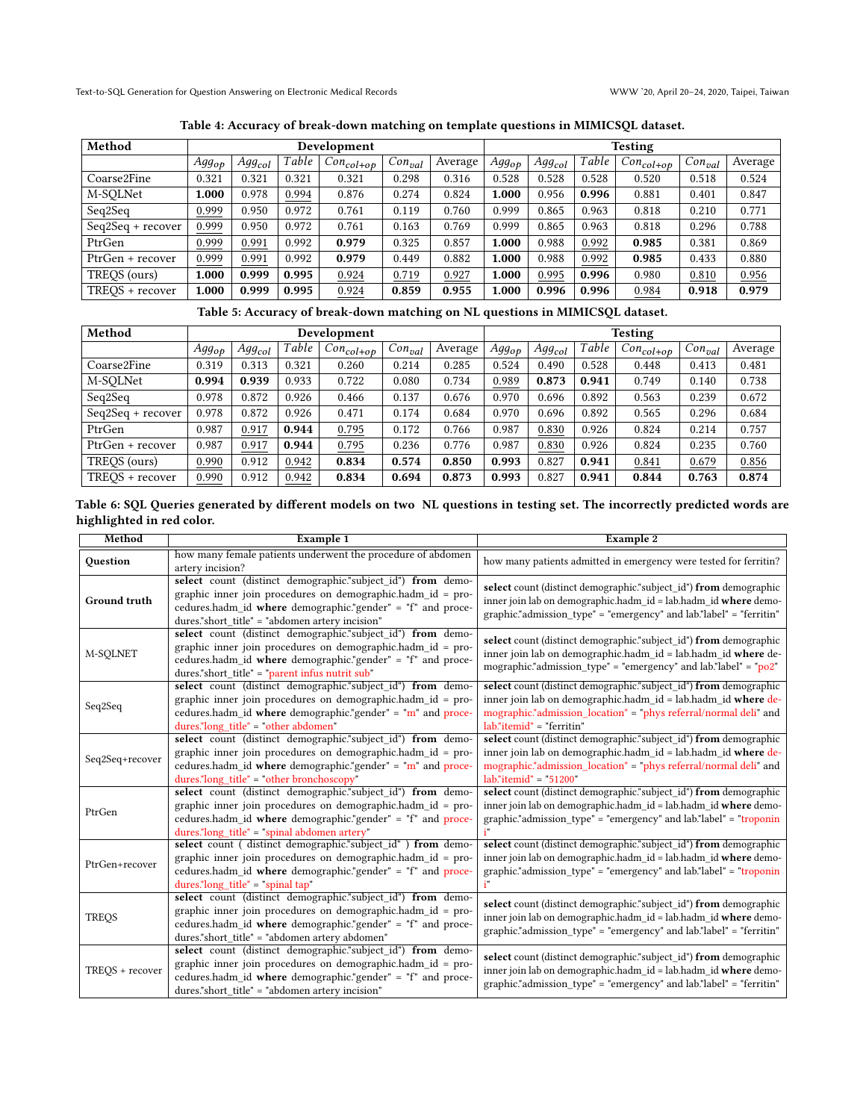<span id="page-8-0"></span>Text-to-SQL Generation for Question Answering on Electronic Medical Records WWW '20, April 20–24, 2020, Taipei, Taiwan

| Method              | Development |             |       |                           |              |         | <b>Testing</b> |             |       |                    |             |         |
|---------------------|-------------|-------------|-------|---------------------------|--------------|---------|----------------|-------------|-------|--------------------|-------------|---------|
|                     | $Agg_{op}$  | $Agg_{col}$ | Table | $\sim$   $Con_{col+op}$ + | $+Con_{val}$ | Average | $Agg_{op}$     | $Agg_{col}$ | Table | $+ Con_{col+op} +$ | $Con_{val}$ | Average |
| Coarse2Fine         | 0.321       | 0.321       | 0.321 | 0.321                     | 0.298        | 0.316   | 0.528          | 0.528       | 0.528 | 0.520              | 0.518       | 0.524   |
| M-SOLNet            | .000        | 0.978       | 0.994 | 0.876                     | 0.274        | 0.824   | 1.000          | 0.956       | 0.996 | 0.881              | 0.401       | 0.847   |
| Seq2Seq             | 0.999       | 0.950       | 0.972 | 0.761                     | 0.119        | 0.760   | 0.999          | 0.865       | 0.963 | 0.818              | 0.210       | 0.771   |
| $Seq2Seq + recover$ | 0.999       | 0.950       | 0.972 | 0.761                     | 0.163        | 0.769   | 0.999          | 0.865       | 0.963 | 0.818              | 0.296       | 0.788   |
| PtrGen              | 0.999       | 0.991       | 0.992 | 0.979                     | 0.325        | 0.857   | 1.000          | 0.988       | 0.992 | 0.985              | 0.381       | 0.869   |
| PtrGen + recover    | 0.999       | 0.991       | 0.992 | 0.979                     | 0.449        | 0.882   | 1.000          | 0.988       | 0.992 | 0.985              | 0.433       | 0.880   |
| TREOS (ours)        | .000        | 0.999       | 0.995 | 0.924                     | 0.719        | 0.927   | 1.000          | 0.995       | 0.996 | 0.980              | 0.810       | 0.956   |
| TREOS + recover     | .000        | 0.999       | 0.995 | 0.924                     | 0.859        | 0.955   | 1.000          | 0.996       | 0.996 | 0.984              | 0.918       | 0.979   |

Table 4: Accuracy of break-down matching on template questions in MIMICSQL dataset.

# Table 5: Accuracy of break-down matching on NL questions in MIMICSQL dataset.

<span id="page-8-1"></span>

| Method            | Development       |             |       |                          |                          |         | <b>Testing</b> |                    |       |                     |             |         |
|-------------------|-------------------|-------------|-------|--------------------------|--------------------------|---------|----------------|--------------------|-------|---------------------|-------------|---------|
|                   | Agg <sub>op</sub> | $Agg_{col}$ | Table | $\mid Con_{col+op} \mid$ | $\lceil Con_{val}\rceil$ | Average | $Agg_{op}$     | Agg <sub>col</sub> | Table | $\mid Con_{col+op}$ | $Con_{val}$ | Average |
| Coarse2Fine       | 0.319             | 0.313       | 0.321 | 0.260                    | 0.214                    | 0.285   | 0.524          | 0.490              | 0.528 | 0.448               | 0.413       | 0.481   |
| M-SOLNet          | 0.994             | 0.939       | 0.933 | 0.722                    | 0.080                    | 0.734   | 0.989          | 0.873              | 0.941 | 0.749               | 0.140       | 0.738   |
| Seq2Seq           | 0.978             | 0.872       | 0.926 | 0.466                    | 0.137                    | 0.676   | 0.970          | 0.696              | 0.892 | 0.563               | 0.239       | 0.672   |
| Seq2Seq + recover | 0.978             | 0.872       | 0.926 | 0.471                    | 0.174                    | 0.684   | 0.970          | 0.696              | 0.892 | 0.565               | 0.296       | 0.684   |
| PtrGen            | 0.987             | 0.917       | 0.944 | 0.795                    | 0.172                    | 0.766   | 0.987          | 0.830              | 0.926 | 0.824               | 0.214       | 0.757   |
| PtrGen + recover  | 0.987             | 0.917       | 0.944 | 0.795                    | 0.236                    | 0.776   | 0.987          | 0.830              | 0.926 | 0.824               | 0.235       | 0.760   |
| TREOS (ours)      | 0.990             | 0.912       | 0.942 | 0.834                    | 0.574                    | 0.850   | 0.993          | 0.827              | 0.941 | 0.841               | 0.679       | 0.856   |
| TREOS + recover   | 0.990             | 0.912       | 0.942 | 0.834                    | 0.694                    | 0.873   | 0.993          | 0.827              | 0.941 | 0.844               | 0.763       | 0.874   |

<span id="page-8-2"></span>

|                           | Table 6: SQL Queries generated by different models on two NL questions in testing set. The incorrectly predicted words are |
|---------------------------|----------------------------------------------------------------------------------------------------------------------------|
| highlighted in red color. |                                                                                                                            |

| Method          | Example 1                                                                                                                                                                                                                                    | Example 2                                                                                                                                                                                                                           |
|-----------------|----------------------------------------------------------------------------------------------------------------------------------------------------------------------------------------------------------------------------------------------|-------------------------------------------------------------------------------------------------------------------------------------------------------------------------------------------------------------------------------------|
| Question        | how many female patients underwent the procedure of abdomen<br>artery incision?                                                                                                                                                              | how many patients admitted in emergency were tested for ferritin?                                                                                                                                                                   |
| Ground truth    | select count (distinct demographic."subject id") from demo-<br>graphic inner join procedures on demographic.hadm id = pro-<br>cedures.hadm_id where demographic."gender" = "f" and proce-<br>dures."short title" = "abdomen artery incision" | select count (distinct demographic."subject_id") from demographic<br>inner join lab on demographic.hadm id = lab.hadm id where demo-<br>graphic."admission type" = "emergency" and lab."label" = "ferritin"                         |
| M-SQLNET        | select count (distinct demographic."subject_id") from demo-<br>graphic inner join procedures on demographic.hadm_id = pro-<br>cedures.hadm id where demographic."gender" = "f" and proce-<br>dures."short title" = "parent infus nutrit sub" | select count (distinct demographic."subject_id") from demographic<br>inner join lab on demographic.hadm id = lab.hadm id where de-<br>mographic."admission type" = "emergency" and lab."label" = " $po2$ "                          |
| Seq2Seq         | select count (distinct demographic."subject id") from demo-<br>graphic inner join procedures on demographic.hadm id = pro-<br>cedures.hadm_id where demographic."gender" = "m" and proce-<br>dures."long_title" = "other abdomen"            | select count (distinct demographic."subject id") from demographic<br>inner join lab on demographic.hadm id = lab.hadm id where de-<br>mographic."admission location" = "phys referral/normal deli" and<br>lab."itemid" = "ferritin" |
| Seq2Seq+recover | select count (distinct demographic."subject_id") from demo-<br>graphic inner join procedures on demographic.hadm id = pro-<br>cedures.hadm id where demographic."gender" = " $m$ " and proce-<br>dures."long title" = "other bronchoscopy"   | select count (distinct demographic."subject_id") from demographic<br>inner join lab on demographic.hadm id = lab.hadm id where de-<br>mographic."admission location" = "phys referral/normal deli" and<br>$lab."itemid" = "51200"$  |
| PtrGen          | select count (distinct demographic."subject_id") from demo-<br>graphic inner join procedures on demographic.hadm id = pro-<br>cedures.hadm id where demographic."gender" = "f" and proce-<br>dures."long title" = "spinal abdomen artery"    | select count (distinct demographic."subject_id") from demographic<br>inner join lab on demographic.hadm id = lab.hadm id where demo-<br>graphic."admission type" = "emergency" and $lab."label" = "troponin"$<br>i"                 |
| PtrGen+recover  | select count ( distinct demographic."subject_id" ) from demo-<br>graphic inner join procedures on demographic.hadm id = pro-<br>cedures.hadm id where demographic."gender" = "f" and proce-<br>dures."long title" = "spinal $tan$ "          | select count (distinct demographic."subject id") from demographic<br>inner join lab on demographic.hadm_id = lab.hadm_id where demo-<br>graphic."admission type" = "emergency" and $lab."label" = "troponin"$<br>ì"                 |
| <b>TREOS</b>    | select count (distinct demographic."subject_id") from demo-<br>graphic inner join procedures on demographic.hadm id = pro-<br>cedures.hadm id where demographic."gender" = "f" and proce-<br>dures."short title" = "abdomen artery abdomen"  | select count (distinct demographic."subject id") from demographic<br>inner join lab on demographic.hadm id = lab.hadm id where demo-<br>graphic."admission type" = "emergency" and lab."label" = "ferritin"                         |
| TREOS + recover | select count (distinct demographic."subject_id") from demo-<br>graphic inner join procedures on demographic.hadm id = pro-<br>cedures.hadm id where demographic."gender" = "f" and proce-<br>dures."short title" = "abdomen artery incision" | select count (distinct demographic."subject_id") from demographic<br>inner join lab on demographic.hadm_id = lab.hadm_id where demo-<br>graphic."admission type" = "emergency" and lab."label" = "ferritin"                         |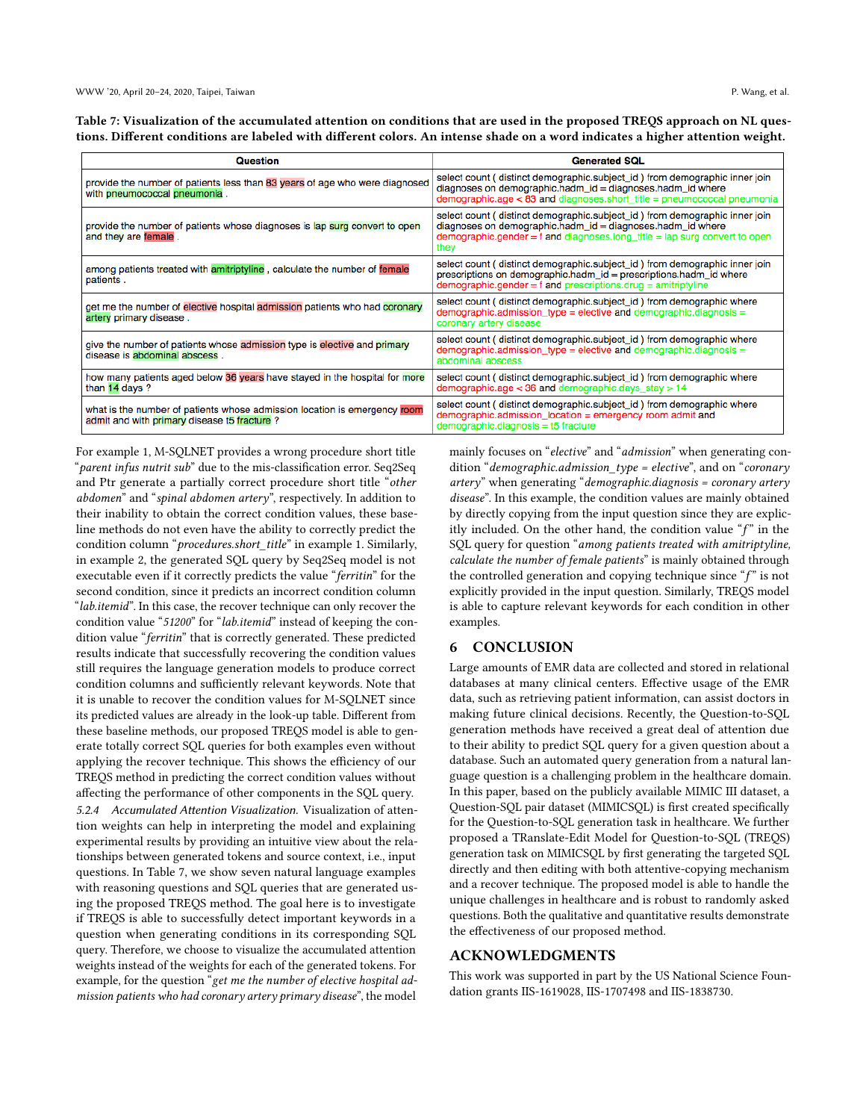<span id="page-9-1"></span>Table 7: Visualization of the accumulated attention on conditions that are used in the proposed TREQS approach on NL questions. Different conditions are labeled with different colors. An intense shade on a word indicates a higher attention weight.

| Question                                                                                                                 | <b>Generated SQL</b>                                                                                                                                                                                                             |
|--------------------------------------------------------------------------------------------------------------------------|----------------------------------------------------------------------------------------------------------------------------------------------------------------------------------------------------------------------------------|
| provide the number of patients less than 83 years of age who were diagnosed<br>with pneumococcal pneumonia.              | select count (distinct demographic.subject_id) from demographic inner join<br>$diagnoses$ on demographic.hadm_id = diagnoses.hadm_id where<br>$demographic age < 83$ and $diagnoses.short$ title = pneumococcal pneumonia        |
| provide the number of patients whose diagnoses is lap surg convert to open<br>and they are female.                       | select count (distinct demographic.subject_id) from demographic inner join<br>diagnoses on demographic.hadm_id = diagnoses.hadm_id where<br>demographic.gender = $f$ and diagnoses.long_title = lap surg convert to open<br>they |
| among patients treated with amitriptyline, calculate the number of female<br>patients.                                   | select count (distinct demographic.subject_id) from demographic inner join<br>prescriptions on demographic.hadm_id = prescriptions.hadm_id where<br>$demographic, gender = f$ and prescriptions.drug = amitriptyline             |
| get me the number of elective hospital admission patients who had coronary<br>artery primary disease.                    | select count (distinct demographic.subject_id) from demographic where<br>$demographic.admission_type = electric and demographic.diagnosis =$<br>coronary artery disease                                                          |
| give the number of patients whose admission type is elective and primary<br>disease is abdominal abscess.                | select count (distinct demographic.subject_id) from demographic where<br>demographic.admission_type = elective and demographic.diagnosis =<br>abdominal abscess                                                                  |
| how many patients aged below 36 years have stayed in the hospital for more<br>than 14 days ?                             | select count (distinct demographic.subject_id) from demographic where<br>$demographic age < 36$ and $demographic days$ _stay > 14                                                                                                |
| what is the number of patients whose admission location is emergency room<br>admit and with primary disease t5 fracture? | select count (distinct demographic.subject_id) from demographic where<br>$demographic.admission\_location = emergency room admit and$<br>$demographic.diagnosis = t5 fraction$                                                   |

For example 1, M-SQLNET provides a wrong procedure short title "parent infus nutrit sub" due to the mis-classification error. Seq2Seq and Ptr generate a partially correct procedure short title "other abdomen" and "spinal abdomen artery", respectively. In addition to their inability to obtain the correct condition values, these baseline methods do not even have the ability to correctly predict the condition column "procedures.short\_title" in example 1. Similarly, in example 2, the generated SQL query by Seq2Seq model is not executable even if it correctly predicts the value "ferritin" for the second condition, since it predicts an incorrect condition column "lab.itemid". In this case, the recover technique can only recover the condition value "51200" for "lab.itemid" instead of keeping the condition value "ferritin" that is correctly generated. These predicted results indicate that successfully recovering the condition values still requires the language generation models to produce correct condition columns and sufficiently relevant keywords. Note that it is unable to recover the condition values for M-SQLNET since its predicted values are already in the look-up table. Different from these baseline methods, our proposed TREQS model is able to generate totally correct SQL queries for both examples even without applying the recover technique. This shows the efficiency of our TREQS method in predicting the correct condition values without affecting the performance of other components in the SQL query.

5.2.4 Accumulated Attention Visualization. Visualization of attention weights can help in interpreting the model and explaining experimental results by providing an intuitive view about the relationships between generated tokens and source context, i.e., input questions. In Table [7,](#page-9-1) we show seven natural language examples with reasoning questions and SQL queries that are generated using the proposed TREQS method. The goal here is to investigate if TREQS is able to successfully detect important keywords in a question when generating conditions in its corresponding SQL query. Therefore, we choose to visualize the accumulated attention weights instead of the weights for each of the generated tokens. For example, for the question "get me the number of elective hospital admission patients who had coronary artery primary disease", the model

mainly focuses on "elective" and "admission" when generating condition "demographic.admission\_type = elective", and on "coronary artery" when generating "demographic.diagnosis = coronary artery disease". In this example, the condition values are mainly obtained by directly copying from the input question since they are explicitly included. On the other hand, the condition value " $f$ " in the SQL query for question "among patients treated with amitriptyline, calculate the number of female patients" is mainly obtained through the controlled generation and copying technique since " $f$ " is not explicitly provided in the input question. Similarly, TREQS model is able to capture relevant keywords for each condition in other examples.

# <span id="page-9-0"></span>6 CONCLUSION

Large amounts of EMR data are collected and stored in relational databases at many clinical centers. Effective usage of the EMR data, such as retrieving patient information, can assist doctors in making future clinical decisions. Recently, the Question-to-SQL generation methods have received a great deal of attention due to their ability to predict SQL query for a given question about a database. Such an automated query generation from a natural language question is a challenging problem in the healthcare domain. In this paper, based on the publicly available MIMIC III dataset, a Question-SQL pair dataset (MIMICSQL) is first created specifically for the Question-to-SQL generation task in healthcare. We further proposed a TRanslate-Edit Model for Question-to-SQL (TREQS) generation task on MIMICSQL by first generating the targeted SQL directly and then editing with both attentive-copying mechanism and a recover technique. The proposed model is able to handle the unique challenges in healthcare and is robust to randomly asked questions. Both the qualitative and quantitative results demonstrate the effectiveness of our proposed method.

### ACKNOWLEDGMENTS

This work was supported in part by the US National Science Foundation grants IIS-1619028, IIS-1707498 and IIS-1838730.